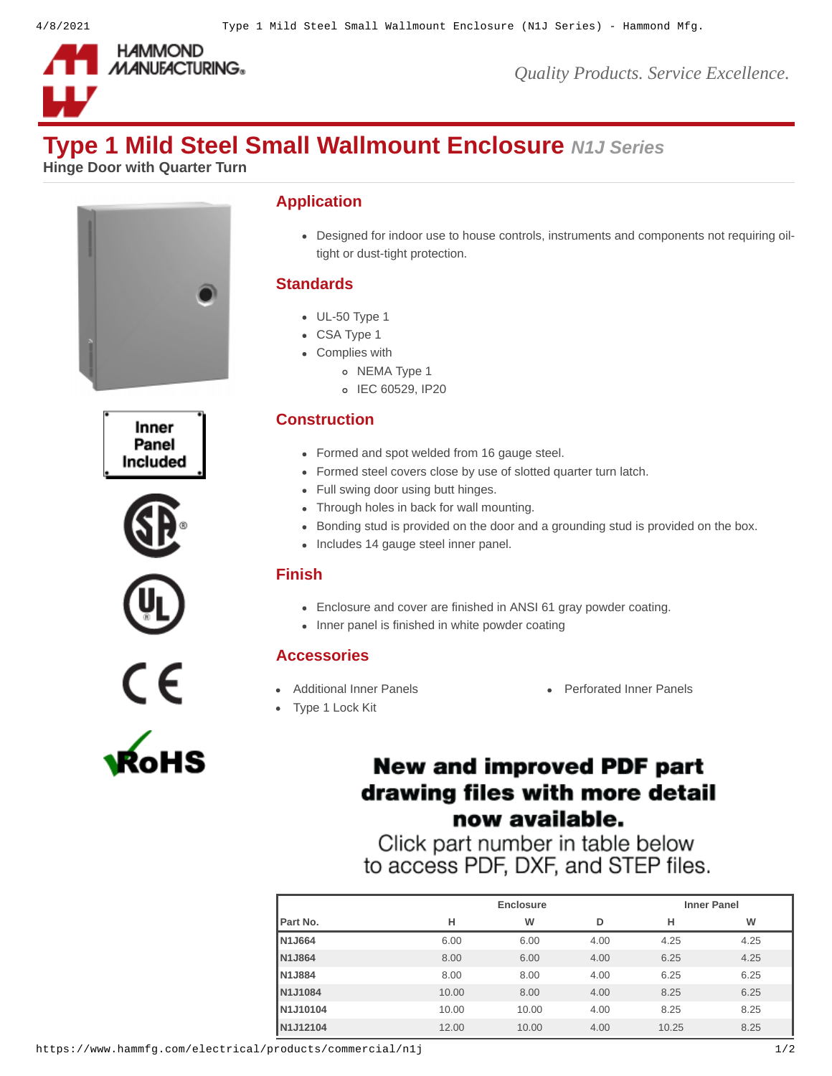

*Quality Products. Service Excellence.*

# **Type 1 Mild Steel Small Wallmount Enclosure** *N1J Series*

**Hinge Door with Quarter Turn**













### **Application**

Designed for indoor use to house controls, instruments and components not requiring oiltight or dust-tight protection.

# **Standards**

- UL-50 Type 1
- CSA Type 1
- Complies with
	- o NEMA Type 1
	- o IEC 60529, IP20

# **Construction**

- Formed and spot welded from 16 gauge steel.
- Formed steel covers close by use of slotted quarter turn latch.
- Full swing door using butt hinges.
- Through holes in back for wall mounting.
- Bonding stud is provided on the door and a grounding stud is provided on the box.
- Includes 14 gauge steel inner panel.

### **Finish**

- Enclosure and cover are finished in ANSI 61 gray powder coating.
- Inner panel is finished in white powder coating

### **Accessories**

- 
- [Type 1 Lock Kit](https://www.hammfg.com/electrical/products/accessories/lkn1?referer=268&itm_type=accessory)
- [Additional Inner Panels](https://www.hammfg.com/electrical/products/accessories/n1jp?referer=268&itm_type=accessory) **Additional Inner Panels** [Perforated Inner Panels](https://www.hammfg.com/electrical/products/accessories/n1jpp?referer=268&itm_type=accessory)

# **New and improved PDF part** drawing files with more detail now available.

Click part number in table below to access PDF, DXF, and STEP files.

|       | <b>Enclosure</b> |      |       | <b>Inner Panel</b> |  |
|-------|------------------|------|-------|--------------------|--|
| н     | W                | D    | н     | W                  |  |
| 6.00  | 6.00             | 4.00 | 4.25  | 4.25               |  |
| 8.00  | 6.00             | 4.00 | 6.25  | 4.25               |  |
| 8.00  | 8.00             | 4.00 | 6.25  | 6.25               |  |
| 10.00 | 8.00             | 4.00 | 8.25  | 6.25               |  |
| 10.00 | 10.00            | 4.00 | 8.25  | 8.25               |  |
| 12.00 | 10.00            | 4.00 | 10.25 | 8.25               |  |
|       |                  |      |       |                    |  |